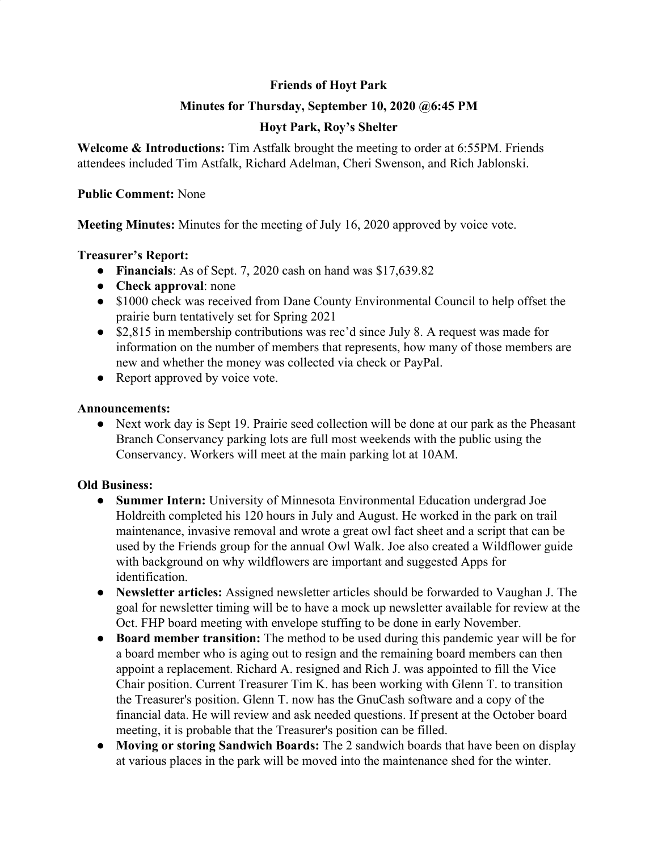# **Friends of Hoyt Park**

## **Minutes for Thursday, September 10, 2020 @6:45 PM**

# **Hoyt Park, Roy's Shelter**

**Welcome & Introductions:** Tim Astfalk brought the meeting to order at 6:55PM. Friends attendees included Tim Astfalk, Richard Adelman, Cheri Swenson, and Rich Jablonski.

#### **Public Comment:** None

**Meeting Minutes:** Minutes for the meeting of July 16, 2020 approved by voice vote.

## **Treasurer's Report:**

- **Financials**: As of Sept. 7, 2020 cash on hand was \$17,639.82
- **Check approval**: none
- \$1000 check was received from Dane County Environmental Council to help offset the prairie burn tentatively set for Spring 2021
- \$2,815 in membership contributions was rec'd since July 8. A request was made for information on the number of members that represents, how many of those members are new and whether the money was collected via check or PayPal.
- Report approved by voice vote.

#### **Announcements:**

**●** Next work day is Sept 19. Prairie seed collection will be done at our park as the Pheasant Branch Conservancy parking lots are full most weekends with the public using the Conservancy. Workers will meet at the main parking lot at 10AM.

## **Old Business:**

- **● Summer Intern:** University of Minnesota Environmental Education undergrad Joe Holdreith completed his 120 hours in July and August. He worked in the park on trail maintenance, invasive removal and wrote a great owl fact sheet and a script that can be used by the Friends group for the annual Owl Walk. Joe also created a Wildflower guide with background on why wildflowers are important and suggested Apps for identification.
- **● Newsletter articles:** Assigned newsletter articles should be forwarded to Vaughan J. The goal for newsletter timing will be to have a mock up newsletter available for review at the Oct. FHP board meeting with envelope stuffing to be done in early November.
- **● Board member transition:** The method to be used during this pandemic year will be for a board member who is aging out to resign and the remaining board members can then appoint a replacement. Richard A. resigned and Rich J. was appointed to fill the Vice Chair position. Current Treasurer Tim K. has been working with Glenn T. to transition the Treasurer's position. Glenn T. now has the GnuCash software and a copy of the financial data. He will review and ask needed questions. If present at the October board meeting, it is probable that the Treasurer's position can be filled.
- **● Moving or storing Sandwich Boards:** The 2 sandwich boards that have been on display at various places in the park will be moved into the maintenance shed for the winter.